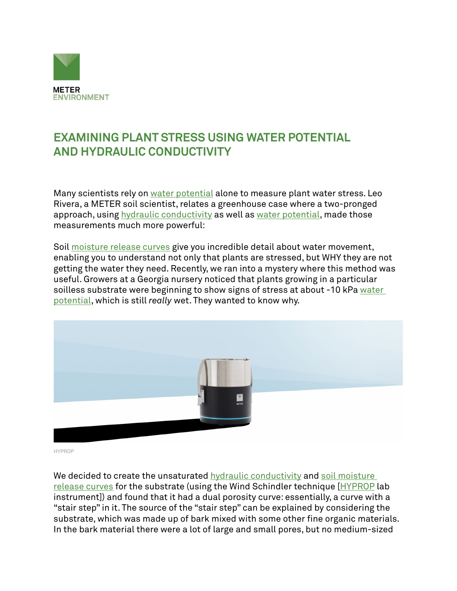

## **EXAMINING PLANT STRESS USING WATER POTENTIAL AND HYDRAULIC CONDUCTIVITY**

Many scientists rely on [water potential](http://www.environmentalbiophysics.org/water-potential-versus-water-content/) alone to measure plant water stress. Leo Rivera, a METER soil scientist, relates a greenhouse case where a two-pronged approach, using [hydraulic conductivity](https://www.metergroup.com/meter_products/ksat-saturated-hydraulic-conductivity/) as well as [water potential,](https://www.metergroup.com/environment/articles/measure-water-potential/) made those measurements much more powerful:

Soil [moisture release curves](https://www.metergroup.com/environment/articles/create-full-moisture-release-curve-using-wp4c-hyprop/) give you incredible detail about water movement, enabling you to understand not only that plants are stressed, but WHY they are not getting the water they need. Recently, we ran into a mystery where this method was useful. Growers at a Georgia nursery noticed that plants growing in a particular soilless substrate were beginning to show signs of stress at about -10 kPa water [potential](https://www.metergroup.com/meter_knowledgebase/defining-water-potential/), which is still *really* wet. They wanted to know why.



HYPROP

We decided to create the unsaturated [hydraulic conductivity](https://www.metergroup.com/environment/products/hyprop-2/) and soil moisture [release curves](https://www.metergroup.com/environment/articles/when-to-water/) for the substrate (using the Wind Schindler technique [[HYPROP](https://www.metergroup.com/environment/products/hyprop-2/) lab instrument]) and found that it had a dual porosity curve: essentially, a curve with a "stair step" in it. The source of the "stair step" can be explained by considering the substrate, which was made up of bark mixed with some other fine organic materials. In the bark material there were a lot of large and small pores, but no medium-sized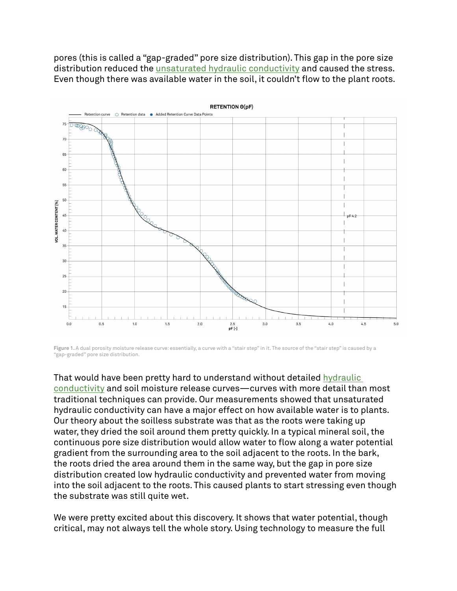pores (this is called a "gap-graded" pore size distribution). This gap in the pore size distribution reduced the [unsaturated hydraulic conductivity](https://www.metergroup.com/environment/products/mini-disk-infiltrometer/) and caused the stress. Even though there was available water in the soil, it couldn't flow to the plant roots.



**Figure 1.** A dual porosity moisture release curve: essentially, a curve with a "stair step" in it. The source of the "stair step" is caused by a "gap-graded" pore size distribution.

That would have been pretty hard to understand without detailed [hydraulic](https://www.metergroup.com/meter_knowledgebase/how-to-measure-soil-hydraulic-conductivity-which-method-is-right-for-you/)  [conductivity](https://www.metergroup.com/meter_knowledgebase/how-to-measure-soil-hydraulic-conductivity-which-method-is-right-for-you/) and soil moisture release curves—curves with more detail than most traditional techniques can provide. Our measurements showed that unsaturated hydraulic conductivity can have a major effect on how available water is to plants. Our theory about the soilless substrate was that as the roots were taking up water, they dried the soil around them pretty quickly. In a typical mineral soil, the continuous pore size distribution would allow water to flow along a water potential gradient from the surrounding area to the soil adjacent to the roots. In the bark, the roots dried the area around them in the same way, but the gap in pore size distribution created low hydraulic conductivity and prevented water from moving into the soil adjacent to the roots. This caused plants to start stressing even though the substrate was still quite wet.

We were pretty excited about this discovery. It shows that water potential, though critical, may not always tell the whole story. Using technology to measure the full